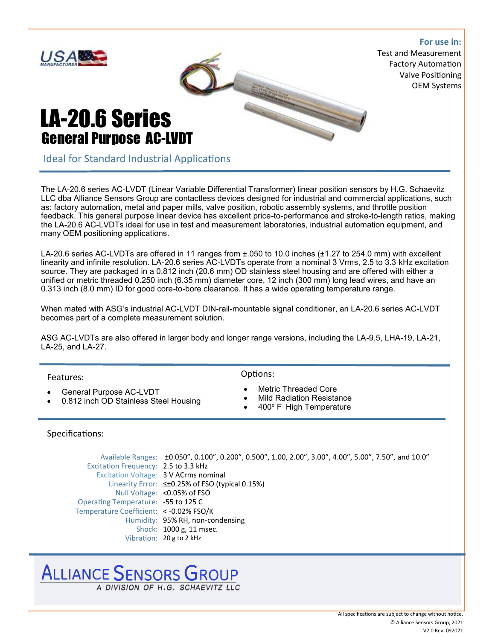

The LA-20.6 series AC-LVDT (Linear Variable Differential Transformer) linear position sensors by H.G. Schaevitz LLC dba Alliance Sensors Group are contactless devices designed for industrial and commercial applications, such as: factory automation, metal and paper mills, valve position, robotic assembly systems, and throttle position feedback. This general purpose linear device has excellent price-to-performance and stroke-to-length ratios, making the LA-20.6 AC-LVDTs ideal for use in test and measurement laboratories, industrial automation equipment, and many OEM positioning applications.

LA-20.6 series AC-LVDTs are offered in 11 ranges from ±.050 to 10.0 inches (±1.27 to 254.0 mm) with excellent linearity and infinite resolution. LA-20.6 series AC-LVDTs operate from a nominal 3 Vrms, 2.5 to 3.3 kHz excitation source. They are packaged in a 0.812 inch (20.6 mm) OD stainless steel housing and are offered with either a unified or metric threaded 0.250 inch (6.35 mm) diameter core, 12 inch (300 mm) long lead wires, and have an 0.313 inch (8.0 mm) ID for good core-to-bore clearance. It has a wide operating temperature range.

When mated with ASG's industrial AC-LVDT DIN-rail-mountable signal conditioner, an LA-20.6 series AC-LVDT becomes part of a complete measurement solution.

ASG AC-LVDTs are also offered in larger body and longer range versions, including the LA-9.5, LHA-19, LA-21, LA-25, and LA-27.

Features:

- General Purpose AC-LVDT
- 0.812 inch OD Stainless Steel Housing

Options:

- Metric Threaded Core
- Mild Radiation Resistance
- 400º F High Temperature

#### Specifications:

Available Ranges: ±0.050", 0.100", 0.200", 0.500", 1.00, 2.00", 3.00", 4.00", 5.00", 7.50", and 10.0" Excitation Frequency: 2.5 to 3.3 kHz Excitation Voltage: 3 V ACrms nominal Linearity Error: ≤±0.25% of FSO (typical 0.15%) Null Voltage: <0.05% of FSO Operating Temperature: -55 to 125 C Temperature Coefficient: < -0.02% FSO/K Humidity: 95% RH, non-condensing Shock: 1000 g, 11 msec. Vibration: 20 g to 2 kHz

## ALLIANCE SENSORS GROUP